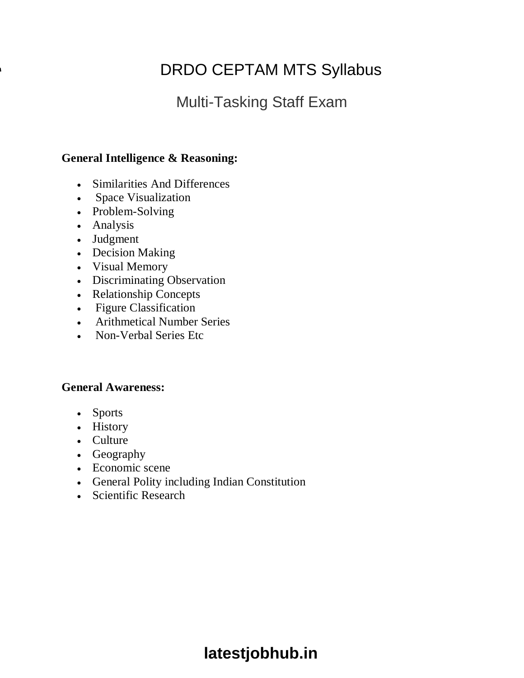# [DRDO CEPTAM MTS Syllabus](http://https://latestjobhub.in/drdo-ceptam-mts-recruitment/)

### Multi-Tasking Staff Exam

#### **General Intelligence & Reasoning:**

- Similarities And Differences
- Space Visualization
- Problem-Solving
- Analysis
- Judgment
- Decision Making
- Visual Memory
- Discriminating Observation
- Relationship Concepts
- Figure Classification
- Arithmetical Number Series
- Non-Verbal Series Etc

#### **General Awareness:**

- Sports
- History
- Culture
- Geography
- Economic scene
- General Polity including Indian Constitution
- Scientific Research

# [latestjobhub.in](http://latestjobhub.in/)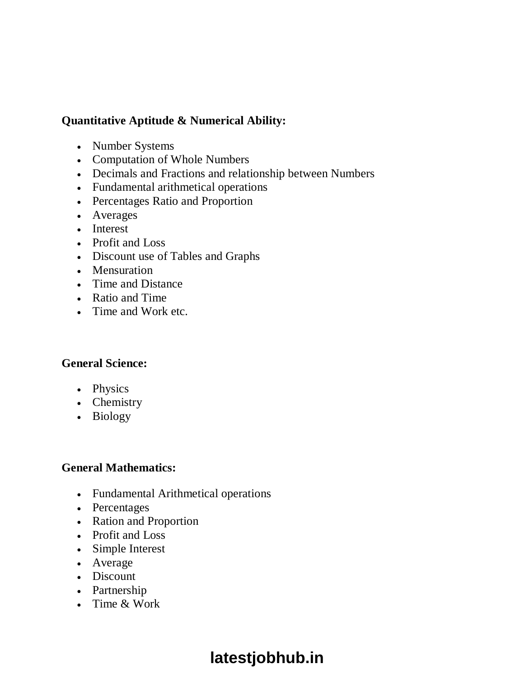#### **Quantitative Aptitude & Numerical Ability:**

- Number Systems
- Computation of Whole Numbers
- Decimals and Fractions and relationship between Numbers
- Fundamental arithmetical operations
- Percentages Ratio and Proportion
- Averages
- Interest
- Profit and Loss
- Discount use of Tables and Graphs
- Mensuration
- Time and Distance
- Ratio and Time
- Time and Work etc.

#### **General Science:**

- Physics
- Chemistry
- Biology

#### **General Mathematics:**

- Fundamental Arithmetical operations
- Percentages
- Ration and Proportion
- Profit and Loss
- Simple Interest
- Average
- Discount
- Partnership
- Time & Work

### **[latestjobhub.in](http://latestjobhub.in/)**